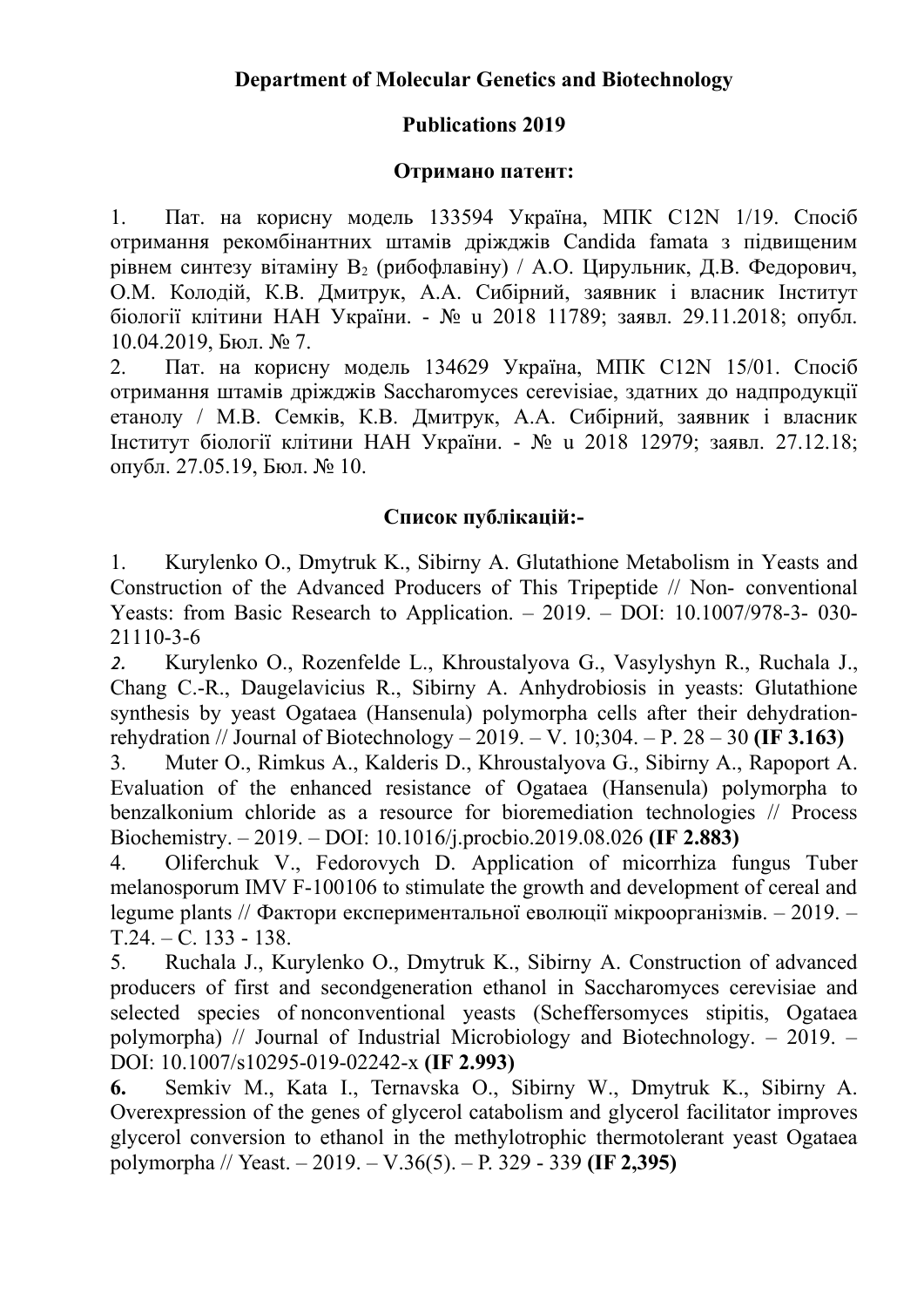## **Publications 2019**

## **Отримано патент:**

1. Пат. на корисну модель 133594 Україна, МПК C12N 1/19. Спосіб отримання рекомбінантних штамів дріжджів Candida famata з підвищеним рівнем синтезу вітаміну  $B_2$  (рибофлавіну) / А.О. Цирульник, Д.В. Федорович, О.М. Колодій, К.В. Дмитрук, А.А. Сибірний, заявник і власник Інститут біології клітини НАН України. - № u 2018 11789; заявл. 29.11.2018; опубл. 10.04.2019, Бюл. № 7.

2. Пат. на корисну модель 134629 Україна, МПК C12N 15/01. Спосіб отримання штамів дріжджів Saccharomyces cerevisiae, здатних до надпродукції етанолу / М.В. Семків, К.В. Дмитрук, А.А. Сибірний, заявник і власник Інститут біології клітини НАН України. - № u 2018 12979; заявл. 27.12.18; опубл. 27.05.19, Бюл. № 10.

## **Список публікацій:-**

1. Kurylenko O., Dmytruk K., Sibirny A. Glutathione Metabolism in Yeasts and Construction of the Advanced Producers of This Tripeptide // Non- conventional Yeasts: from Basic Research to Application. – 2019. – DOI: 10.1007/978-3- 030- 21110-3-6

*2.* Kurylenko O., Rozenfelde L., Khroustalyova G., Vasylyshyn R., Ruchala J., Chang C.-R., Daugelavicius R., Sibirny A. Anhydrobiosis in yeasts: Glutathione synthesis by yeast Ogataea (Hansenula) polymorpha cells after their dehydrationrehydration // Journal of Biotechnology – 2019. – V. 10;304. – P. 28 – 30 **(IF 3.163)**

3. Muter O., Rimkus A., Kalderis D., Khroustalyova G., Sibirny A., Rapoport A. Evaluation of the enhanced resistance of Ogataea (Hansenula) polymorpha to benzalkonium chloride as a resource for bioremediation technologies // Process Biochemistry. – 2019. – DOI: 10.1016/j.procbio.2019.08.026 **(IF 2.883)**

4. Oliferchuk V., Fedorovych D. Application of micorrhiza fungus Tuber melanosporum IMV F-100106 to stimulate the growth and development of cereal and legume plants // Фактори експериментальної еволюції мікроорганізмів. – 2019. – Т.24. – C. 133 - 138.

5. Ruchala J., Kurylenko O., Dmytruk K., Sibirny A. Construction of advanced producers of first and secondgeneration ethanol in Saccharomyces cerevisiae and selected species of nonconventional yeasts (Scheffersomyces stipitis, Ogataea polymorpha) // Journal of Industrial Microbiology and Biotechnology. – 2019. – DOI: 10.1007/s10295-019-02242-x **(IF 2.993)**

**6.** Semkiv M., Kata I., Ternavska O., Sibirny W., Dmytruk K., Sibirny A. Overexpression of the genes of glycerol catabolism and glycerol facilitator improves glycerol conversion to ethanol in the methylotrophic thermotolerant yeast Ogataea polymorpha // Yeast. – 2019. – V.36(5). – P. 329 - 339 **(IF 2,395)**